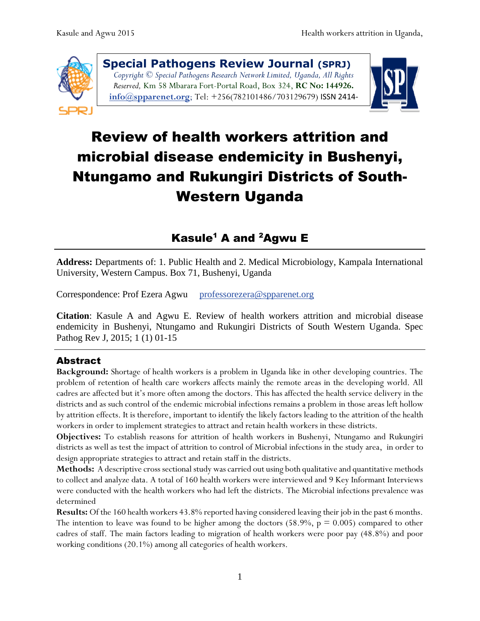

**Special Pathogens Review Journal (SPRJ)** *Copyright © Special Pathogens Research Network Limited, Uganda, All Rights Reserved,* Km 58 Mbarara Fort-Portal Road, Box 324, **RC No: 144926. [info@spparenet.o](mailto:info@spparenet.)rg**; Tel: +256(782101486/703129679) ISSN 2414-

8237



# Review of health workers attrition and microbial disease endemicity in Bushenyi, Ntungamo and Rukungiri Districts of South-Western Uganda

## Kasule<sup>1</sup> A and <sup>2</sup>Agwu E

**Address:** Departments of: 1. Public Health and 2. Medical Microbiology, Kampala International University, Western Campus. Box 71, Bushenyi, Uganda

Correspondence: Prof Ezera Agwu [professorezera@spparenet.org](mailto:professorezera@spparenet.org)

**Citation**: Kasule A and Agwu E. Review of health workers attrition and microbial disease endemicity in Bushenyi, Ntungamo and Rukungiri Districts of South Western Uganda. Spec Pathog Rev J, 2015; 1 (1) 01-15

## Abstract

**Background:** Shortage of health workers is a problem in Uganda like in other developing countries. The problem of retention of health care workers affects mainly the remote areas in the developing world. All cadres are affected but it's more often among the doctors. This has affected the health service delivery in the districts and as such control of the endemic microbial infections remains a problem in those areas left hollow by attrition effects. It is therefore, important to identify the likely factors leading to the attrition of the health workers in order to implement strategies to attract and retain health workers in these districts.

**Objectives:** To establish reasons for attrition of health workers in Bushenyi, Ntungamo and Rukungiri districts as well as test the impact of attrition to control of Microbial infections in the study area, in order to design appropriate strategies to attract and retain staff in the districts.

**Methods:** A descriptive cross sectional study was carried out using both qualitative and quantitative methods to collect and analyze data. A total of 160 health workers were interviewed and 9 Key Informant Interviews were conducted with the health workers who had left the districts. The Microbial infections prevalence was determined

**Results:** Of the 160 health workers 43.8% reported having considered leaving their job in the past 6 months. The intention to leave was found to be higher among the doctors  $(58.9\%, p = 0.005)$  compared to other cadres of staff. The main factors leading to migration of health workers were poor pay (48.8%) and poor working conditions (20.1%) among all categories of health workers.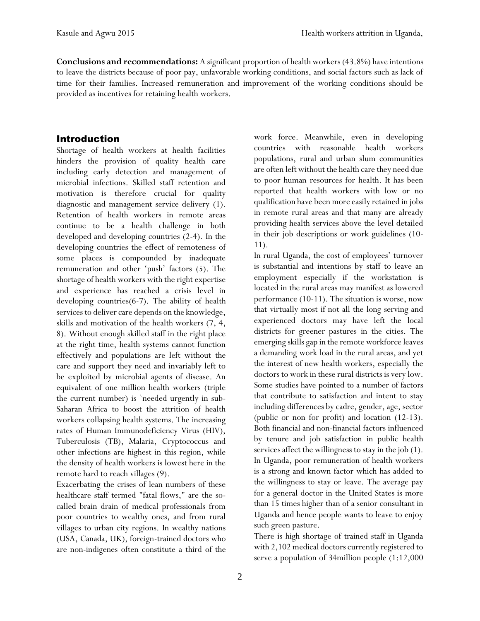**Conclusions and recommendations:** A significant proportion of health workers (43.8%) have intentions to leave the districts because of poor pay, unfavorable working conditions, and social factors such as lack of time for their families. Increased remuneration and improvement of the working conditions should be provided as incentives for retaining health workers.

#### Introduction

Shortage of health workers at health facilities hinders the provision of quality health care including early detection and management of microbial infections. Skilled staff retention and motivation is therefore crucial for quality diagnostic and management service delivery (1). Retention of health workers in remote areas continue to be a health challenge in both developed and developing countries (2-4). In the developing countries the effect of remoteness of some places is compounded by inadequate remuneration and other 'push' factors (5). The shortage of health workers with the right expertise and experience has reached a crisis level in developing countries(6-7). The ability of health services to deliver care depends on the knowledge, skills and motivation of the health workers (7, 4, 8). Without enough skilled staff in the right place at the right time, health systems cannot function effectively and populations are left without the care and support they need and invariably left to be exploited by microbial agents of disease. An equivalent of one million health workers (triple the current number) is `needed urgently in sub-Saharan Africa to boost the attrition of health workers collapsing health systems. The increasing rates of Human Immunodeficiency Virus (HIV), Tuberculosis (TB), Malaria, Cryptococcus and other infections are highest in this region, while the density of health workers is lowest here in the remote hard to reach villages (9).

Exacerbating the crises of lean numbers of these healthcare staff termed "fatal flows," are the socalled brain drain of medical professionals from poor countries to wealthy ones, and from rural villages to urban city regions. In wealthy nations (USA, Canada, UK), foreign-trained doctors who are non-indigenes often constitute a third of the work force. Meanwhile, even in developing countries with reasonable health workers populations, rural and urban slum communities are often left without the health care they need due to poor human resources for health. It has been reported that health workers with low or no qualification have been more easily retained in jobs in remote rural areas and that many are already providing health services above the level detailed in their job descriptions or work guidelines (10- 11).

In rural Uganda, the cost of employees' turnover is substantial and intentions by staff to leave an employment especially if the workstation is located in the rural areas may manifest as lowered performance (10-11). The situation is worse, now that virtually most if not all the long serving and experienced doctors may have left the local districts for greener pastures in the cities. The emerging skills gap in the remote workforce leaves a demanding work load in the rural areas, and yet the interest of new health workers, especially the doctors to work in these rural districts is very low. Some studies have pointed to a number of factors that contribute to satisfaction and intent to stay including differences by cadre, gender, age, sector (public or non for profit) and location (12-13). Both financial and non-financial factors influenced by tenure and job satisfaction in public health services affect the willingness to stay in the job (1). In Uganda, poor remuneration of health workers is a strong and known factor which has added to the willingness to stay or leave. The average pay for a general doctor in the United States is more than 15 times higher than of a senior consultant in Uganda and hence people wants to leave to enjoy such green pasture.

There is high shortage of trained staff in Uganda with 2,102 medical doctors currently registered to serve a population of 34million people (1:12,000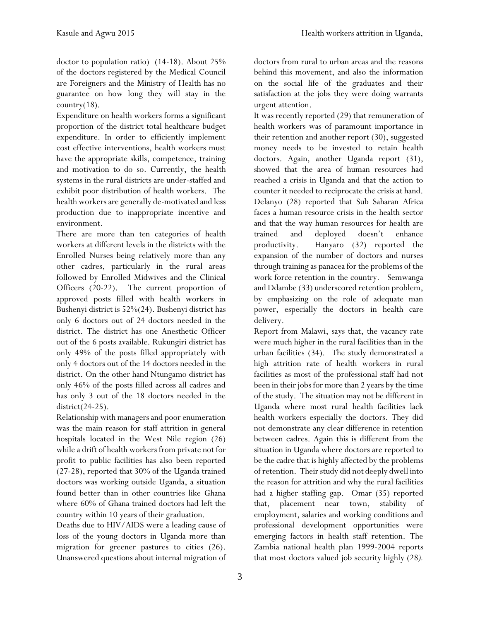doctor to population ratio) (14-18). About 25% of the doctors registered by the Medical Council are Foreigners and the Ministry of Health has no guarantee on how long they will stay in the country $(18)$ .

Expenditure on health workers forms a significant proportion of the district total healthcare budget expenditure. In order to efficiently implement cost effective interventions, health workers must have the appropriate skills, competence, training and motivation to do so. Currently, the health systems in the rural districts are under-staffed and exhibit poor distribution of health workers. The health workers are generally de-motivated and less production due to inappropriate incentive and environment.

There are more than ten categories of health workers at different levels in the districts with the Enrolled Nurses being relatively more than any other cadres, particularly in the rural areas followed by Enrolled Midwives and the Clinical Officers (20-22). The current proportion of approved posts filled with health workers in Bushenyi district is 52%(24). Bushenyi district has only 6 doctors out of 24 doctors needed in the district. The district has one Anesthetic Officer out of the 6 posts available. Rukungiri district has only 49% of the posts filled appropriately with only 4 doctors out of the 14 doctors needed in the district. On the other hand Ntungamo district has only 46% of the posts filled across all cadres and has only 3 out of the 18 doctors needed in the district(24-25).

Relationship with managers and poor enumeration was the main reason for staff attrition in general hospitals located in the West Nile region (26) while a drift of health workers from private not for profit to public facilities has also been reported (27-28), reported that 30% of the Uganda trained doctors was working outside Uganda, a situation found better than in other countries like Ghana where 60% of Ghana trained doctors had left the country within 10 years of their graduation.

Deaths due to HIV/AIDS were a leading cause of loss of the young doctors in Uganda more than migration for greener pastures to cities (26). Unanswered questions about internal migration of

doctors from rural to urban areas and the reasons behind this movement, and also the information on the social life of the graduates and their satisfaction at the jobs they were doing warrants urgent attention.

It was recently reported (29) that remuneration of health workers was of paramount importance in their retention and another report (30), suggested money needs to be invested to retain health doctors. Again, another Uganda report (31), showed that the area of human resources had reached a crisis in Uganda and that the action to counter it needed to reciprocate the crisis at hand. Delanyo (28) reported that Sub Saharan Africa faces a human resource crisis in the health sector and that the way human resources for health are trained and deployed doesn't enhance productivity. Hanyaro (32) reported the expansion of the number of doctors and nurses through training as panacea for the problems of the work force retention in the country. Semwanga and Ddambe (33) underscored retention problem, by emphasizing on the role of adequate man power, especially the doctors in health care delivery.

Report from Malawi, says that, the vacancy rate were much higher in the rural facilities than in the urban facilities (34). The study demonstrated a high attrition rate of health workers in rural facilities as most of the professional staff had not been in their jobs for more than 2 years by the time of the study. The situation may not be different in Uganda where most rural health facilities lack health workers especially the doctors. They did not demonstrate any clear difference in retention between cadres. Again this is different from the situation in Uganda where doctors are reported to be the cadre that is highly affected by the problems of retention. Their study did not deeply dwell into the reason for attrition and why the rural facilities had a higher staffing gap. Omar (35) reported that, placement near town, stability of employment, salaries and working conditions and professional development opportunities were emerging factors in health staff retention. The Zambia national health plan 1999-2004 reports that most doctors valued job security highly (28*).*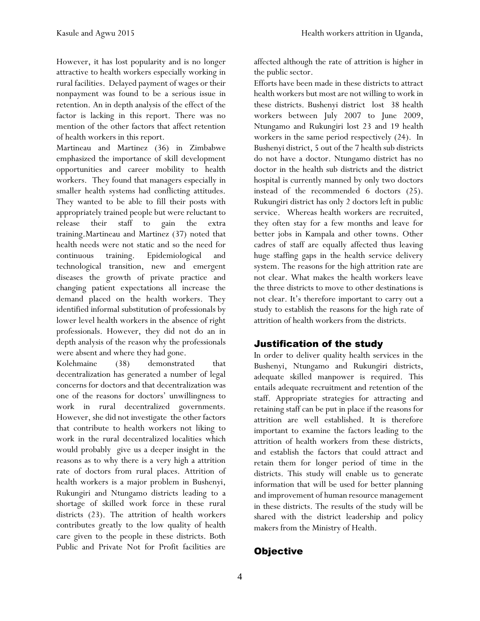However, it has lost popularity and is no longer attractive to health workers especially working in rural facilities. Delayed payment of wages or their nonpayment was found to be a serious issue in retention. An in depth analysis of the effect of the factor is lacking in this report. There was no mention of the other factors that affect retention of health workers in this report.

Martineau and Martinez (36) in Zimbabwe emphasized the importance of skill development opportunities and career mobility to health workers. They found that managers especially in smaller health systems had conflicting attitudes. They wanted to be able to fill their posts with appropriately trained people but were reluctant to release their staff to gain the extra training.Martineau and Martinez (37) noted that health needs were not static and so the need for continuous training. Epidemiological and technological transition, new and emergent diseases the growth of private practice and changing patient expectations all increase the demand placed on the health workers. They identified informal substitution of professionals by lower level health workers in the absence of right professionals. However, they did not do an in depth analysis of the reason why the professionals were absent and where they had gone.

Kolehmaine (38) demonstrated that decentralization has generated a number of legal concerns for doctors and that decentralization was one of the reasons for doctors' unwillingness to work in rural decentralized governments. However, she did not investigate the other factors that contribute to health workers not liking to work in the rural decentralized localities which would probably give us a deeper insight in the reasons as to why there is a very high a attrition rate of doctors from rural places. Attrition of health workers is a major problem in Bushenyi, Rukungiri and Ntungamo districts leading to a shortage of skilled work force in these rural districts (23). The attrition of health workers contributes greatly to the low quality of health care given to the people in these districts. Both Public and Private Not for Profit facilities are affected although the rate of attrition is higher in the public sector.

Efforts have been made in these districts to attract health workers but most are not willing to work in these districts. Bushenyi district lost 38 health workers between July 2007 to June 2009, Ntungamo and Rukungiri lost 23 and 19 health workers in the same period respectively (24). In Bushenyi district, 5 out of the 7 health sub districts do not have a doctor. Ntungamo district has no doctor in the health sub districts and the district hospital is currently manned by only two doctors instead of the recommended 6 doctors (25). Rukungiri district has only 2 doctors left in public service. Whereas health workers are recruited, they often stay for a few months and leave for better jobs in Kampala and other towns. Other cadres of staff are equally affected thus leaving huge staffing gaps in the health service delivery system. The reasons for the high attrition rate are not clear. What makes the health workers leave the three districts to move to other destinations is not clear. It's therefore important to carry out a study to establish the reasons for the high rate of attrition of health workers from the districts.

## Justification of the study

In order to deliver quality health services in the Bushenyi, Ntungamo and Rukungiri districts, adequate skilled manpower is required. This entails adequate recruitment and retention of the staff. Appropriate strategies for attracting and retaining staff can be put in place if the reasons for attrition are well established. It is therefore important to examine the factors leading to the attrition of health workers from these districts, and establish the factors that could attract and retain them for longer period of time in the districts. This study will enable us to generate information that will be used for better planning and improvement of human resource management in these districts. The results of the study will be shared with the district leadership and policy makers from the Ministry of Health.

## **Objective**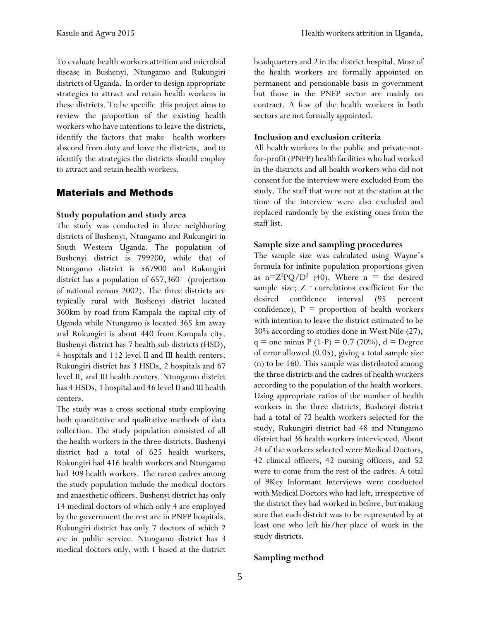To evaluate health workers attrition and microbial disease in Bushenyi, Ntungamo and Rukungiri districts of Uganda. In order to design appropriate strategies to attract and retain health workers in these districts. To be specific this project aims to review the proportion of the existing health workers who have intentions to leave the districts, identify the factors that make health workers abscond from duty and leave the districts, and to identify the strategies the districts should employ to attract and retain health workers.

#### Materials and Methods

#### **Study population and study area**

The study was conducted in three neighboring districts of Bushenyi, Ntungamo and Rukungiri in South Western Uganda. The population of Bushenyi district is 799200, while that of Ntungamo district is 567900 and Rukungiri district has a population of 657,360 (projection of national census 2002). The three districts are typically rural with Bushenyi district located 360km by road from Kampala the capital city of Uganda while Ntungamo is located 365 km away and Rukungiri is about 440 from Kampala city. Bushenyi district has 7 health sub districts (HSD), 4 hospitals and 112 level II and III health centers. Rukungiri district has 3 HSDs, 2 hospitals and 67 level II, and III health centers. Ntungamo district has 4 HSDs, 1 hospital and 46 level II and III health centers.

The study was a cross sectional study employing both quantitative and qualitative methods of data collection. The study population consisted of all the health workers in the three districts. Bushenyi district had a total of 625 health workers, Rukungiri had 416 health workers and Ntungamo had 309 health workers. The rarest cadres among the study population include the medical doctors and anaesthetic officers. Bushenyi district has only 14 medical doctors of which only 4 are employed by the government the rest are in PNFP hospitals. Rukungiri district has only 7 doctors of which 2 are in public service. Ntungamo district has 3 medical doctors only, with 1 based at the district headquarters and 2 in the district hospital. Most of the health workers are formally appointed on permanent and pensionable basis in government but those in the PNFP sector are mainly on contract. A few of the health workers in both sectors are not formally appointed.

#### **Inclusion and exclusion criteria**

All health workers in the public and private-notfor-profit (PNFP) health facilities who had worked in the districts and all health workers who did not consent for the interview were excluded from the study. The staff that were not at the station at the time of the interview were also excluded and replaced randomly by the existing ones from the staff list.

#### **Sample size and sampling procedures**

The sample size was calculated using Wayne's formula for infinite population proportions given as  $n=Z^2PQ/D^2$  (40), Where  $n =$  the desired sample size;  $Z =$  correlations coefficient for the desired confidence interval (95 percent confidence),  $P =$  proportion of health workers with intention to leave the district estimated to be 30% according to studies done in West Nile (27),  $q =$  one minus P (1-P) = 0.7 (70%),  $d =$  Degree of error allowed (0.05), giving a total sample size (n) to be 160. This sample was distributed among the three districts and the cadres of health workers according to the population of the health workers. Using appropriate ratios of the number of health workers in the three districts, Bushenyi district had a total of 72 health workers selected for the study, Rukungiri district had 48 and Ntungamo district had 36 health workers interviewed. About 24 of the workers selected were Medical Doctors, 42 clinical officers, 42 nursing officers, and 52 were to come from the rest of the cadres. A total of 9Key Informant Interviews were conducted with Medical Doctors who had left, irrespective of the district they had worked in before, but making sure that each district was to be represented by at least one who left his/her place of work in the study districts.

#### **Sampling method**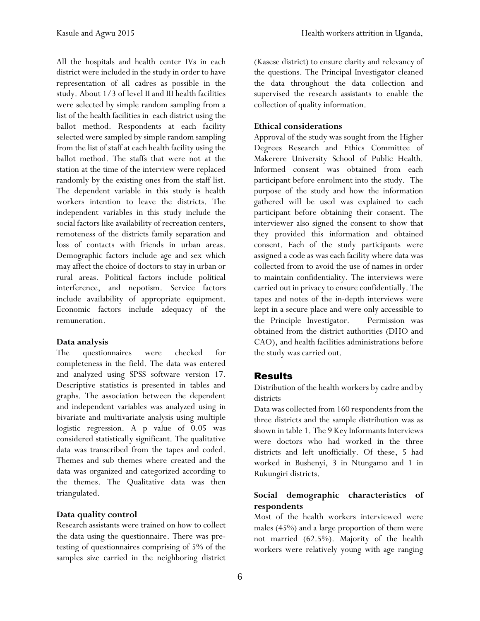All the hospitals and health center IVs in each district were included in the study in order to have representation of all cadres as possible in the study. About 1/3 of level II and III health facilities were selected by simple random sampling from a list of the health facilities in each district using the ballot method. Respondents at each facility selected were sampled by simple random sampling from the list of staff at each health facility using the ballot method. The staffs that were not at the station at the time of the interview were replaced randomly by the existing ones from the staff list. The dependent variable in this study is health workers intention to leave the districts. The independent variables in this study include the social factors like availability of recreation centers, remoteness of the districts family separation and loss of contacts with friends in urban areas. Demographic factors include age and sex which may affect the choice of doctors to stay in urban or rural areas. Political factors include political interference, and nepotism. Service factors include availability of appropriate equipment. Economic factors include adequacy of the remuneration.

#### **Data analysis**

The questionnaires were checked for completeness in the field. The data was entered and analyzed using SPSS software version 17. Descriptive statistics is presented in tables and graphs. The association between the dependent and independent variables was analyzed using in bivariate and multivariate analysis using multiple logistic regression. A p value of 0.05 was considered statistically significant. The qualitative data was transcribed from the tapes and coded. Themes and sub themes where created and the data was organized and categorized according to the themes. The Qualitative data was then triangulated.

#### **Data quality control**

Research assistants were trained on how to collect the data using the questionnaire. There was pretesting of questionnaires comprising of 5% of the samples size carried in the neighboring district (Kasese district) to ensure clarity and relevancy of the questions. The Principal Investigator cleaned the data throughout the data collection and supervised the research assistants to enable the collection of quality information.

#### **Ethical considerations**

Approval of the study was sought from the Higher Degrees Research and Ethics Committee of Makerere University School of Public Health. Informed consent was obtained from each participant before enrolment into the study. The purpose of the study and how the information gathered will be used was explained to each participant before obtaining their consent. The interviewer also signed the consent to show that they provided this information and obtained consent. Each of the study participants were assigned a code as was each facility where data was collected from to avoid the use of names in order to maintain confidentiality. The interviews were carried out in privacy to ensure confidentially. The tapes and notes of the in-depth interviews were kept in a secure place and were only accessible to the Principle Investigator. Permission was obtained from the district authorities (DHO and CAO), and health facilities administrations before the study was carried out.

#### Results

Distribution of the health workers by cadre and by districts

Data was collected from 160 respondents from the three districts and the sample distribution was as shown in table 1. The 9 Key Informants Interviews were doctors who had worked in the three districts and left unofficially. Of these, 5 had worked in Bushenyi, 3 in Ntungamo and 1 in Rukungiri districts.

#### **Social demographic characteristics of respondents**

Most of the health workers interviewed were males (45%) and a large proportion of them were not married (62.5%). Majority of the health workers were relatively young with age ranging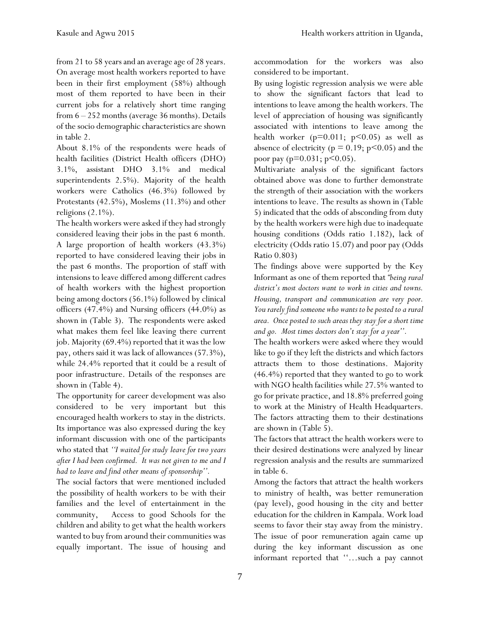from 21 to 58 years and an average age of 28 years. On average most health workers reported to have been in their first employment (58%) although most of them reported to have been in their current jobs for a relatively short time ranging from 6 – 252 months (average 36 months). Details of the socio demographic characteristics are shown in table 2.

About 8.1% of the respondents were heads of health facilities (District Health officers (DHO) 3.1%, assistant DHO 3.1% and medical superintendents 2.5%). Majority of the health workers were Catholics (46.3%) followed by Protestants (42.5%), Moslems (11.3%) and other religions  $(2.1\%)$ .

The health workers were asked if they had strongly considered leaving their jobs in the past 6 month. A large proportion of health workers (43.3%) reported to have considered leaving their jobs in the past 6 months. The proportion of staff with intensions to leave differed among different cadres of health workers with the highest proportion being among doctors (56.1%) followed by clinical officers  $(47.4\%)$  and Nursing officers  $(44.0\%)$  as shown in (Table 3). The respondents were asked what makes them feel like leaving there current job. Majority (69.4%) reported that it was the low pay, others said it was lack of allowances (57.3%), while 24.4% reported that it could be a result of poor infrastructure. Details of the responses are shown in (Table 4).

The opportunity for career development was also considered to be very important but this encouraged health workers to stay in the districts. Its importance was also expressed during the key informant discussion with one of the participants who stated that *''I waited for study leave for two years after I had been confirmed. It was not given to me and I had to leave and find other means of sponsorship''.* 

The social factors that were mentioned included the possibility of health workers to be with their families and the level of entertainment in the community, Access to good Schools for the children and ability to get what the health workers wanted to buy from around their communities was equally important. The issue of housing and accommodation for the workers was also considered to be important.

By using logistic regression analysis we were able to show the significant factors that lead to intentions to leave among the health workers. The level of appreciation of housing was significantly associated with intentions to leave among the health worker  $(p=0.011; p<0.05)$  as well as absence of electricity ( $p = 0.19$ ;  $p \le 0.05$ ) and the poor pay ( $p=0.031$ ;  $p<0.05$ ).

Multivariate analysis of the significant factors obtained above was done to further demonstrate the strength of their association with the workers intentions to leave. The results as shown in (Table 5) indicated that the odds of absconding from duty by the health workers were high due to inadequate housing conditions (Odds ratio 1.182), lack of electricity (Odds ratio 15.07) and poor pay (Odds Ratio 0.803)

The findings above were supported by the Key Informant as one of them reported that *"being rural district's most doctors want to work in cities and towns. Housing, transport and communication are very poor. You rarely find someone who wants to be posted to a rural area. Once posted to such areas they stay for a short time and go. Most times doctors don't stay for a year''.*

The health workers were asked where they would like to go if they left the districts and which factors attracts them to those destinations. Majority (46.4%) reported that they wanted to go to work with NGO health facilities while 27.5% wanted to go for private practice, and 18.8% preferred going to work at the Ministry of Health Headquarters. The factors attracting them to their destinations are shown in (Table 5).

The factors that attract the health workers were to their desired destinations were analyzed by linear regression analysis and the results are summarized in table 6.

Among the factors that attract the health workers to ministry of health, was better remuneration (pay level), good housing in the city and better education for the children in Kampala. Work load seems to favor their stay away from the ministry. The issue of poor remuneration again came up during the key informant discussion as one informant reported that ''…such a pay cannot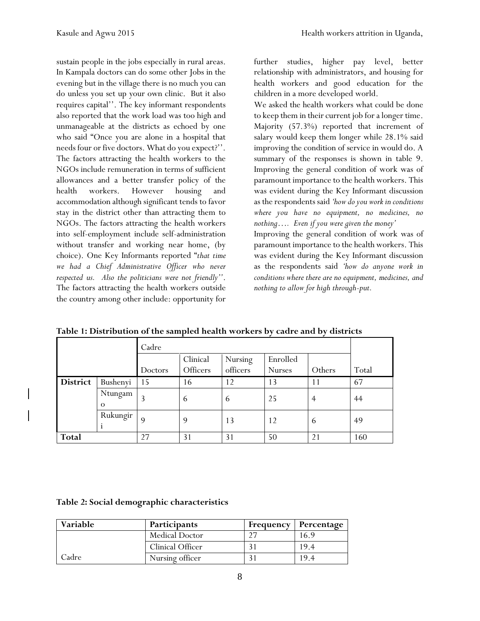sustain people in the jobs especially in rural areas. In Kampala doctors can do some other Jobs in the evening but in the village there is no much you can do unless you set up your own clinic. But it also requires capital''. The key informant respondents also reported that the work load was too high and unmanageable at the districts as echoed by one who said "Once you are alone in a hospital that needs four or five doctors. What do you expect?''. The factors attracting the health workers to the NGOs include remuneration in terms of sufficient allowances and a better transfer policy of the health workers. However housing and accommodation although significant tends to favor stay in the district other than attracting them to NGOs. The factors attracting the health workers into self-employment include self-administration without transfer and working near home, (by choice). One Key Informants reported "*that time we had a Chief Administrative Officer who never respected us. Also the politicians were not friendly''*. The factors attracting the health workers outside the country among other include: opportunity for

further studies, higher pay level, better relationship with administrators, and housing for health workers and good education for the children in a more developed world.

We asked the health workers what could be done to keep them in their current job for a longer time. Majority (57.3%) reported that increment of salary would keep them longer while 28.1% said improving the condition of service in would do. A summary of the responses is shown in table 9. Improving the general condition of work was of paramount importance to the health workers. This was evident during the Key Informant discussion as the respondents said *'how do you work in conditions where you have no equipment, no medicines, no nothing…. Even if you were given the money'*

Improving the general condition of work was of paramount importance to the health workers. This was evident during the Key Informant discussion as the respondents said *'how do anyone work in conditions where there are no equipment, medicines, and nothing to allow for high through-put.* 

|                 |                     | Cadre   |                      |                     |                           |                |       |
|-----------------|---------------------|---------|----------------------|---------------------|---------------------------|----------------|-------|
|                 |                     | Doctors | Clinical<br>Officers | Nursing<br>officers | Enrolled<br><b>Nurses</b> | Others         | Total |
| <b>District</b> | Bushenyi            | 15      | 16                   | 12                  | 13                        | 11             | 67    |
|                 | Ntungam<br>$\Omega$ | 3       | 6                    | $\mathfrak b$       | 25                        | $\overline{4}$ | 44    |
|                 | Rukungir            | 9       | 9                    | 13                  | 12                        | 6              | 49    |
| <b>Total</b>    |                     | 27      | 31                   | 31                  | 50                        | 21             | 160   |

**Table 1: Distribution of the sampled health workers by cadre and by districts**

#### **Table 2: Social demographic characteristics**

| Variable | Participants          |          | <b>Frequency   Percentage</b> |
|----------|-----------------------|----------|-------------------------------|
|          | <b>Medical Doctor</b> | $\gamma$ | 16.9                          |
|          | Clinical Officer      |          | 19.4                          |
| Cadre    | Nursing officer       |          | I 94                          |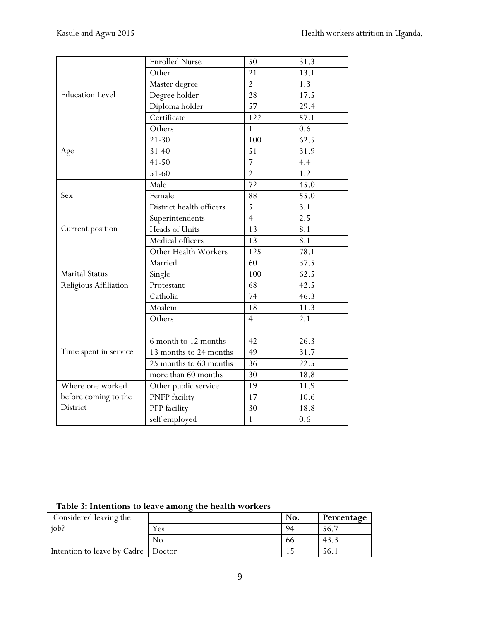|                        | <b>Enrolled Nurse</b>    | 50              | 31.3             |
|------------------------|--------------------------|-----------------|------------------|
|                        | Other                    | 21              | 13.1             |
|                        | Master degree            | $\overline{2}$  | 1.3              |
| <b>Education Level</b> | Degree holder            | 28              | 17.5             |
|                        | Diploma holder           | 57              | 29.4             |
|                        | Certificate              | 122             | 57.1             |
|                        | Others                   | $\overline{1}$  | $\overline{0.6}$ |
|                        | $21 - 30$                | 100             | 62.5             |
| Age                    | $31 - 40$                | 51              | 31.9             |
|                        | $41 - 50$                | $\overline{7}$  | 4.4              |
|                        | $51 - 60$                | $\overline{2}$  | 1.2              |
|                        | Male                     | $\overline{72}$ | 45.0             |
| Sex                    | Female                   | 88              | 55.0             |
|                        | District health officers | $\overline{5}$  | 3.1              |
|                        | Superintendents          | $\overline{4}$  | 2.5              |
| Current position       | Heads of Units           | 13              | 8.1              |
|                        | Medical officers         | 13              | 8.1              |
|                        | Other Health Workers     | 125             | 78.1             |
|                        | Married                  | 60              | 37.5             |
| <b>Marital Status</b>  | Single                   | 100             | 62.5             |
| Religious Affiliation  | Protestant               | 68              | 42.5             |
|                        | Catholic                 | $\overline{74}$ | 46.3             |
|                        | Moslem                   | 18              | 11.3             |
|                        | Others                   | $\overline{4}$  | 2.1              |
|                        |                          |                 |                  |
|                        | 6 month to 12 months     | 42              | 26.3             |
| Time spent in service  | 13 months to 24 months   | 49              | 31.7             |
|                        | 25 months to 60 months   | 36              | 22.5             |
|                        | more than 60 months      | 30              | 18.8             |
| Where one worked       | Other public service     | 19              | 11.9             |
| before coming to the   | <b>PNFP</b> facility     | 17              | 10.6             |
| District               | PFP facility             | 30              | 18.8             |
|                        | self employed            | $\mathbf{1}$    | 0.6              |

## **Table 3: Intentions to leave among the health workers**

| Considered leaving the               |                | No. | Percentage |
|--------------------------------------|----------------|-----|------------|
| job?                                 | r es           | 94  | 56.7       |
|                                      | N <sub>0</sub> | bb  | -43.       |
| Intention to leave by Cadre   Doctor |                |     | 56. i      |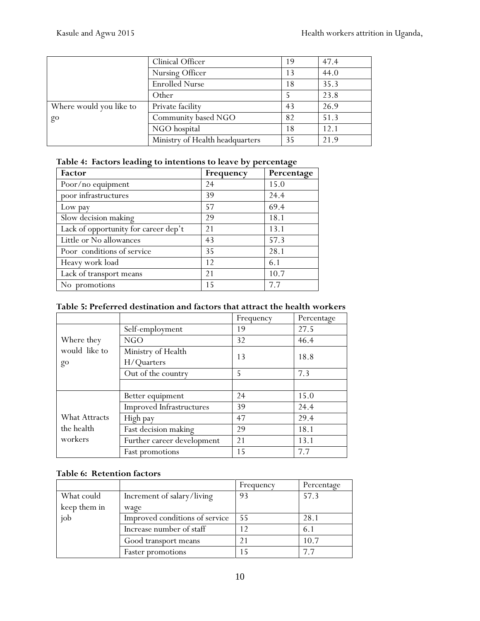|                         | Clinical Officer                | 19 | 47.4 |
|-------------------------|---------------------------------|----|------|
|                         | Nursing Officer                 | 13 | 44.0 |
|                         | <b>Enrolled Nurse</b>           | 18 | 35.3 |
|                         | Other                           |    | 23.8 |
| Where would you like to | Private facility                | 43 | 26.9 |
| go                      | Community based NGO             | 82 | 51.3 |
|                         | NGO hospital                    | 18 | 12.1 |
|                         | Ministry of Health headquarters | 35 | 21.9 |

|  | Table 4: Factors leading to intentions to leave by percentage |  |  |
|--|---------------------------------------------------------------|--|--|
|  |                                                               |  |  |

| Factor                               | Frequency | Percentage |
|--------------------------------------|-----------|------------|
| Poor/no equipment                    | 24        | 15.0       |
| poor infrastructures                 | 39        | 24.4       |
| Low pay                              | 57        | 69.4       |
| Slow decision making                 | 29        | 18.1       |
| Lack of opportunity for career dep't | 21        | 13.1       |
| Little or No allowances              | 43        | 57.3       |
| Poor conditions of service           | 35        | 28.1       |
| Heavy work load                      | 12        | 6.1        |
| Lack of transport means              | 21        | 10.7       |
| No promotions                        | 15        | 7.7        |

#### **Table 5: Preferred destination and factors that attract the health workers**

|                      |                                 | Frequency | Percentage |
|----------------------|---------------------------------|-----------|------------|
|                      | Self-employment                 | 19        | 27.5       |
| Where they           | NGO                             | 32        | 46.4       |
| would like to        | Ministry of Health              | 13        | 18.8       |
| go                   | H/Quarters                      |           |            |
|                      | Out of the country              | 5         | 7.3        |
|                      |                                 |           |            |
|                      | Better equipment                | 24        | 15.0       |
|                      | <b>Improved Infrastructures</b> | 39        | 24.4       |
| <b>What Attracts</b> | High pay                        | 47        | 29.4       |
| the health           | Fast decision making            | 29        | 18.1       |
| workers              | Further career development      | 21        | 13.1       |
|                      | Fast promotions                 | 15        | 7.7        |

#### **Table 6: Retention factors**

|              |                                | Frequency | Percentage |
|--------------|--------------------------------|-----------|------------|
| What could   | Increment of salary/living     | 93        | 57.3       |
| keep them in | wage                           |           |            |
| job          | Improved conditions of service | 55        | 28.1       |
|              | Increase number of staff       |           | 6.1        |
|              | Good transport means           |           | 10.7       |
|              | <b>Faster promotions</b>       |           | 77         |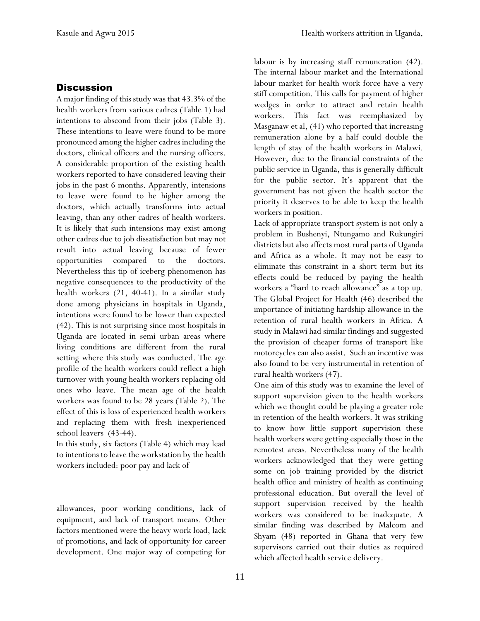#### **Discussion**

A major finding of this study was that 43.3% of the health workers from various cadres (Table 1) had intentions to abscond from their jobs (Table 3). These intentions to leave were found to be more pronounced among the higher cadres including the doctors, clinical officers and the nursing officers. A considerable proportion of the existing health workers reported to have considered leaving their jobs in the past 6 months. Apparently, intensions to leave were found to be higher among the doctors, which actually transforms into actual leaving, than any other cadres of health workers. It is likely that such intensions may exist among other cadres due to job dissatisfaction but may not result into actual leaving because of fewer opportunities compared to the doctors. Nevertheless this tip of iceberg phenomenon has negative consequences to the productivity of the health workers (21, 40-41). In a similar study done among physicians in hospitals in Uganda, intentions were found to be lower than expected (42). This is not surprising since most hospitals in Uganda are located in semi urban areas where living conditions are different from the rural setting where this study was conducted. The age profile of the health workers could reflect a high turnover with young health workers replacing old ones who leave. The mean age of the health workers was found to be 28 years (Table 2). The effect of this is loss of experienced health workers and replacing them with fresh inexperienced school leavers (43-44).

In this study, six factors (Table 4) which may lead to intentions to leave the workstation by the health workers included: poor pay and lack of

allowances, poor working conditions, lack of equipment, and lack of transport means. Other factors mentioned were the heavy work load, lack of promotions, and lack of opportunity for career development. One major way of competing for

labour is by increasing staff remuneration (42). The internal labour market and the International labour market for health work force have a very stiff competition. This calls for payment of higher wedges in order to attract and retain health workers. This fact was reemphasized by Masganaw et al, (41) who reported that increasing remuneration alone by a half could double the length of stay of the health workers in Malawi. However, due to the financial constraints of the public service in Uganda, this is generally difficult for the public sector. It's apparent that the government has not given the health sector the priority it deserves to be able to keep the health workers in position.

Lack of appropriate transport system is not only a problem in Bushenyi, Ntungamo and Rukungiri districts but also affects most rural parts of Uganda and Africa as a whole. It may not be easy to eliminate this constraint in a short term but its effects could be reduced by paying the health workers a "hard to reach allowance" as a top up. The Global Project for Health (46) described the importance of initiating hardship allowance in the retention of rural health workers in Africa. A study in Malawi had similar findings and suggested the provision of cheaper forms of transport like motorcycles can also assist. Such an incentive was also found to be very instrumental in retention of rural health workers (47).

One aim of this study was to examine the level of support supervision given to the health workers which we thought could be playing a greater role in retention of the health workers. It was striking to know how little support supervision these health workers were getting especially those in the remotest areas. Nevertheless many of the health workers acknowledged that they were getting some on job training provided by the district health office and ministry of health as continuing professional education. But overall the level of support supervision received by the health workers was considered to be inadequate. A similar finding was described by Malcom and Shyam (48) reported in Ghana that very few supervisors carried out their duties as required which affected health service delivery.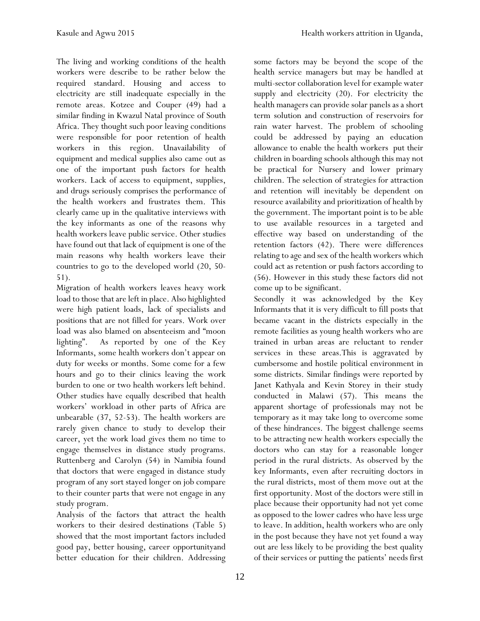The living and working conditions of the health workers were describe to be rather below the required standard. Housing and access to electricity are still inadequate especially in the remote areas. Kotzee and Couper (49) had a similar finding in Kwazul Natal province of South Africa. They thought such poor leaving conditions were responsible for poor retention of health workers in this region. Unavailability of equipment and medical supplies also came out as one of the important push factors for health workers. Lack of access to equipment, supplies, and drugs seriously comprises the performance of the health workers and frustrates them. This clearly came up in the qualitative interviews with the key informants as one of the reasons why health workers leave public service. Other studies have found out that lack of equipment is one of the main reasons why health workers leave their countries to go to the developed world (20, 50- 51).

Migration of health workers leaves heavy work load to those that are left in place. Also highlighted were high patient loads, lack of specialists and positions that are not filled for years. Work over load was also blamed on absenteeism and "moon lighting". As reported by one of the Key Informants, some health workers don't appear on duty for weeks or months. Some come for a few hours and go to their clinics leaving the work burden to one or two health workers left behind. Other studies have equally described that health workers' workload in other parts of Africa are unbearable (37, 52-53). The health workers are rarely given chance to study to develop their career, yet the work load gives them no time to engage themselves in distance study programs. Ruttenberg and Carolyn (54) in Namibia found that doctors that were engaged in distance study program of any sort stayed longer on job compare to their counter parts that were not engage in any study program.

Analysis of the factors that attract the health workers to their desired destinations (Table 5) showed that the most important factors included good pay, better housing, career opportunityand better education for their children. Addressing some factors may be beyond the scope of the health service managers but may be handled at multi-sector collaboration level for example water supply and electricity (20). For electricity the health managers can provide solar panels as a short term solution and construction of reservoirs for rain water harvest. The problem of schooling could be addressed by paying an education allowance to enable the health workers put their children in boarding schools although this may not be practical for Nursery and lower primary children. The selection of strategies for attraction and retention will inevitably be dependent on resource availability and prioritization of health by the government. The important point is to be able to use available resources in a targeted and effective way based on understanding of the retention factors (42). There were differences relating to age and sex of the health workers which could act as retention or push factors according to (56). However in this study these factors did not come up to be significant.

Secondly it was acknowledged by the Key Informants that it is very difficult to fill posts that became vacant in the districts especially in the remote facilities as young health workers who are trained in urban areas are reluctant to render services in these areas.This is aggravated by cumbersome and hostile political environment in some districts. Similar findings were reported by Janet Kathyala and Kevin Storey in their study conducted in Malawi (57). This means the apparent shortage of professionals may not be temporary as it may take long to overcome some of these hindrances. The biggest challenge seems to be attracting new health workers especially the doctors who can stay for a reasonable longer period in the rural districts. As observed by the key Informants, even after recruiting doctors in the rural districts, most of them move out at the first opportunity. Most of the doctors were still in place because their opportunity had not yet come as opposed to the lower cadres who have less urge to leave. In addition, health workers who are only in the post because they have not yet found a way out are less likely to be providing the best quality of their services or putting the patients' needs first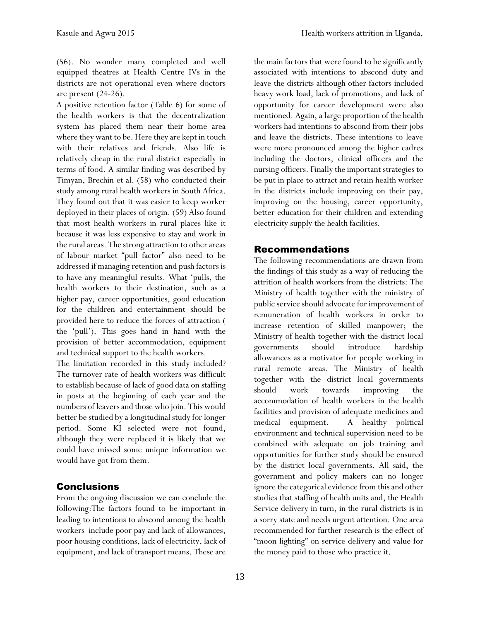(56). No wonder many completed and well equipped theatres at Health Centre IVs in the districts are not operational even where doctors are present (24-26).

A positive retention factor (Table 6) for some of the health workers is that the decentralization system has placed them near their home area where they want to be. Here they are kept in touch with their relatives and friends. Also life is relatively cheap in the rural district especially in terms of food. A similar finding was described by Timyan, Brechin et al. (58) who conducted their study among rural health workers in South Africa. They found out that it was easier to keep worker deployed in their places of origin. (59) Also found that most health workers in rural places like it because it was less expensive to stay and work in the rural areas. The strong attraction to other areas of labour market "pull factor" also need to be addressed if managing retention and push factors is to have any meaningful results. What 'pulls, the health workers to their destination, such as a higher pay, career opportunities, good education for the children and entertainment should be provided here to reduce the forces of attraction ( the 'pull'). This goes hand in hand with the provision of better accommodation, equipment and technical support to the health workers.

The limitation recorded in this study included? The turnover rate of health workers was difficult to establish because of lack of good data on staffing in posts at the beginning of each year and the numbers of leavers and those who join. This would better be studied by a longitudinal study for longer period. Some KI selected were not found, although they were replaced it is likely that we could have missed some unique information we would have got from them.

### Conclusions

From the ongoing discussion we can conclude the following:The factors found to be important in leading to intentions to abscond among the health workers include poor pay and lack of allowances, poor housing conditions, lack of electricity, lack of equipment, and lack of transport means. These are the main factors that were found to be significantly associated with intentions to abscond duty and leave the districts although other factors included heavy work load, lack of promotions, and lack of opportunity for career development were also mentioned. Again, a large proportion of the health workers had intentions to abscond from their jobs and leave the districts. These intentions to leave were more pronounced among the higher cadres including the doctors, clinical officers and the nursing officers. Finally the important strategies to be put in place to attract and retain health worker in the districts include improving on their pay, improving on the housing, career opportunity, better education for their children and extending electricity supply the health facilities.

### Recommendations

The following recommendations are drawn from the findings of this study as a way of reducing the attrition of health workers from the districts: The Ministry of health together with the ministry of public service should advocate for improvement of remuneration of health workers in order to increase retention of skilled manpower; the Ministry of health together with the district local governments should introduce hardship allowances as a motivator for people working in rural remote areas. The Ministry of health together with the district local governments should work towards improving the accommodation of health workers in the health facilities and provision of adequate medicines and medical equipment. A healthy political environment and technical supervision need to be combined with adequate on job training and opportunities for further study should be ensured by the district local governments. All said, the government and policy makers can no longer ignore the categorical evidence from this and other studies that staffing of health units and, the Health Service delivery in turn, in the rural districts is in a sorry state and needs urgent attention. One area recommended for further research is the effect of "moon lighting" on service delivery and value for the money paid to those who practice it.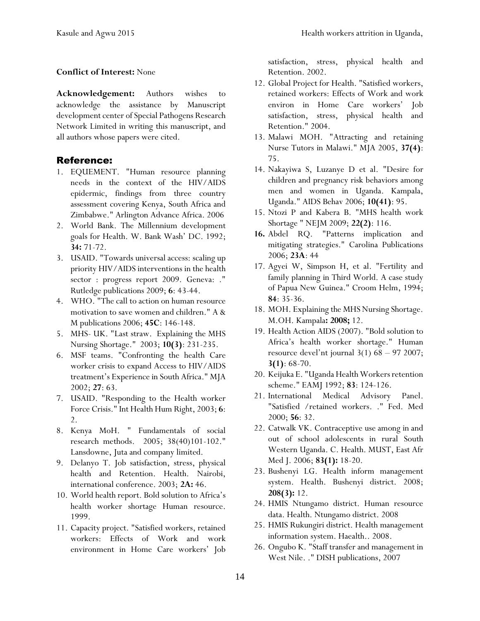#### **Conflict of Interest:** None

**Acknowledgement:** Authors wishes to acknowledge the assistance by Manuscript development center of Special Pathogens Research Network Limited in writing this manuscript, and all authors whose papers were cited.

#### Reference:

- 1. EQUEMENT. "Human resource planning needs in the context of the HIV/AIDS epidermic, findings from three country assessment covering Kenya, South Africa and Zimbabwe." Arlington Advance Africa. 2006
- 2. World Bank. The Millennium development goals for Health. W. Bank Wash' DC. 1992; **34:** 71-72.
- 3. USAID. "Towards universal access: scaling up priority HIV/AIDS interventions in the health sector : progress report 2009. Geneva: ." Rutledge publications 2009; **6**: 43-44.
- 4. WHO. "The call to action on human resource motivation to save women and children." A & M publications 2006; **45C**: 146-148.
- 5. MHS- UK. "Last straw. Explaining the MHS Nursing Shortage." 2003; **10(3)**: 231-235.
- 6. MSF teams. "Confronting the health Care worker crisis to expand Access to HIV/AIDS treatment's Experience in South Africa." MJA 2002; **27**: 63.
- 7. USAID. "Responding to the Health worker Force Crisis." Int Health Hum Right, 2003; **6**: 2.
- 8. Kenya MoH. " Fundamentals of social research methods. 2005; 38(40)101-102." Lansdowne, Juta and company limited.
- 9. Delanyo T. Job satisfaction, stress, physical health and Retention. Health. Nairobi, international conference. 2003; **2A:** 46.
- 10. World health report. Bold solution to Africa's health worker shortage Human resource. 1999.
- 11. Capacity project. "Satisfied workers, retained workers: Effects of Work and work environment in Home Care workers' Job

satisfaction, stress, physical health and Retention. 2002.

- 12. Global Project for Health. "Satisfied workers, retained workers: Effects of Work and work environ in Home Care workers' Job satisfaction, stress, physical health and Retention." 2004.
- 13. Malawi MOH. "Attracting and retaining Nurse Tutors in Malawi." MJA 2005, **37(4)**: 75.
- 14. Nakayiwa S, Luzanye D et al. "Desire for children and pregnancy risk behaviors among men and women in Uganda. Kampala, Uganda." AIDS Behav 2006; **10(41)**: 95.
- 15. Ntozi P and Kabera B. "MHS health work Shortage " NEJM 2009; **22(2)**: 116.
- **16.** Abdel RQ. "Patterns implication and mitigating strategies." Carolina Publications 2006; **23A**: 44
- 17. Agyei W, Simpson H, et al. "Fertility and family planning in Third World. A case study of Papua New Guinea." Croom Helm, 1994; **84**: 35-36.
- 18. MOH. Explaining the MHS Nursing Shortage. M.OH. Kampala**: 2008;** 12.
- 19. Health Action AIDS (2007). "Bold solution to Africa's health worker shortage." Human resource devel'nt journal 3(1) 68 – 97 2007; **3(1)**: 68-70.
- 20. Keijuka E. "Uganda Health Workers retention scheme." EAMJ 1992; **83**: 124-126.
- 21. International Medical Advisory Panel. "Satisfied /retained workers. ." Fed. Med 2000; **56**: 32.
- 22. Catwalk VK. Contraceptive use among in and out of school adolescents in rural South Western Uganda. C. Health. MUST, East Afr Med J. 2006; **83(1):** 18-20.
- 23. Bushenyi LG. Health inform management system. Health. Bushenyi district. 2008; **208(3):** 12.
- 24. HMIS Ntungamo district. Human resource data. Health. Ntungamo district. 2008
- 25. HMIS Rukungiri district. Health management information system. Haealth.. 2008.
- 26. Ongubo K. "Staff transfer and management in West Nile. ." DISH publications, 2007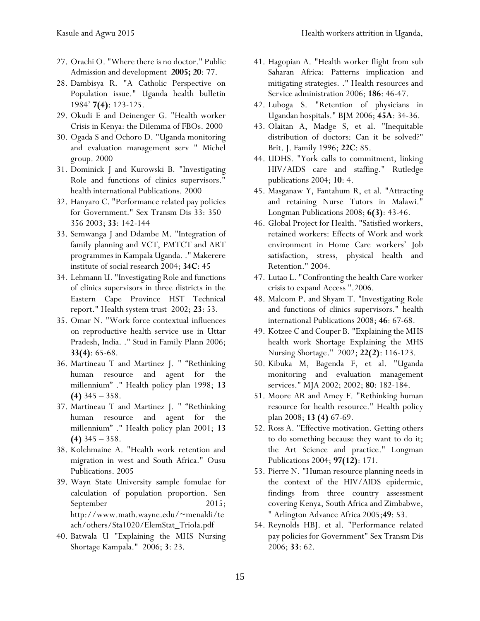- 27. Orachi O. "Where there is no doctor." Public Admission and development **2005; 20**: 77.
- 28. Dambisya R. "A Catholic Perspective on Population issue." Uganda health bulletin 1984' **7(4)**: 123-125.
- 29. Okudi E and Deinenger G. "Health worker Crisis in Kenya: the Dilemma of FBOs. 2000
- 30. Ogada S and Ochoro D. "Uganda monitoring and evaluation management serv " Michel group. 2000
- 31. Dominick J and Kurowski B. "Investigating Role and functions of clinics supervisors." health international Publications. 2000
- 32. Hanyaro C. "Performance related pay policies for Government." Sex Transm Dis 33: 350– 356 2003; **33**: 142-144
- 33. Semwanga J and Ddambe M. "Integration of family planning and VCT, PMTCT and ART programmes in Kampala Uganda. ." Makerere institute of social research 2004; **34C**: 45
- 34. Lehmann U. "Investigating Role and functions of clinics supervisors in three districts in the Eastern Cape Province HST Technical report." Health system trust 2002; **23**: 53.
- 35. Omar N. "Work force contextual influences on reproductive health service use in Uttar Pradesh, India. ." Stud in Family Plann 2006; **33(4)**: 65-68.
- 36. Martineau T and Martinez J. " "Rethinking human resource and agent for the millennium" ." Health policy plan 1998; **13 (4)** 345 – 358.
- 37. Martineau T and Martinez J. " "Rethinking human resource and agent for the millennium" ." Health policy plan 2001; **13 (4)** 345 – 358.
- 38. Kolehmaine A. "Health work retention and migration in west and South Africa." Ousu Publications. 2005
- 39. Wayn State University sample fomulae for calculation of population proportion. Sen September 2015; http://www.math.wayne.edu/~menaldi/te ach/others/Sta1020/ElemStat\_Triola.pdf
- 40. Batwala U "Explaining the MHS Nursing Shortage Kampala." 2006; **3**: 23.
- 41. Hagopian A. "Health worker flight from sub Saharan Africa: Patterns implication and mitigating strategies. ." Health resources and Service administration 2006; **186**: 46-47.
- 42. Luboga S. "Retention of physicians in Ugandan hospitals." BJM 2006; **45A**: 34-36.
- 43. Olaitan A, Madge S, et al. "Inequitable distribution of doctors: Can it be solved?" Brit. J. Family 1996; **22C**: 85.
- 44. UDHS. "York calls to commitment, linking HIV/AIDS care and staffing." Rutledge publications 2004; **10**: 4.
- 45. Masganaw Y, Fantahum R, et al. "Attracting and retaining Nurse Tutors in Malawi." Longman Publications 2008; **6(3)**: 43-46.
- 46. Global Project for Health. "Satisfied workers, retained workers: Effects of Work and work environment in Home Care workers' Job satisfaction, stress, physical health and Retention." 2004.
- 47. Lutao L. "Confronting the health Care worker crisis to expand Access ".2006.
- 48. Malcom P. and Shyam T. "Investigating Role and functions of clinics supervisors." health international Publications 2008; **46**: 67-68.
- 49. Kotzee C and Couper B. "Explaining the MHS health work Shortage Explaining the MHS Nursing Shortage." 2002; **22(2)**: 116-123.
- 50. Kibuka M, Bagenda F, et al. "Uganda monitoring and evaluation management services." MJA 2002; 2002; **80**: 182-184.
- 51. Moore AR and Amey F. "Rethinking human resource for health resource." Health policy plan 2008; **13 (4)** 67-69.
- 52. Ross A. "Effective motivation. Getting others to do something because they want to do it; the Art Science and practice." Longman Publications 2004; **97(12)**: 171.
- 53. Pierre N. "Human resource planning needs in the context of the HIV/AIDS epidermic, findings from three country assessment covering Kenya, South Africa and Zimbabwe, " Arlington Advance Africa 2005;**49**: 53.
- 54. Reynolds HBJ. et al. "Performance related pay policies for Government" Sex Transm Dis 2006; **33**: 62.